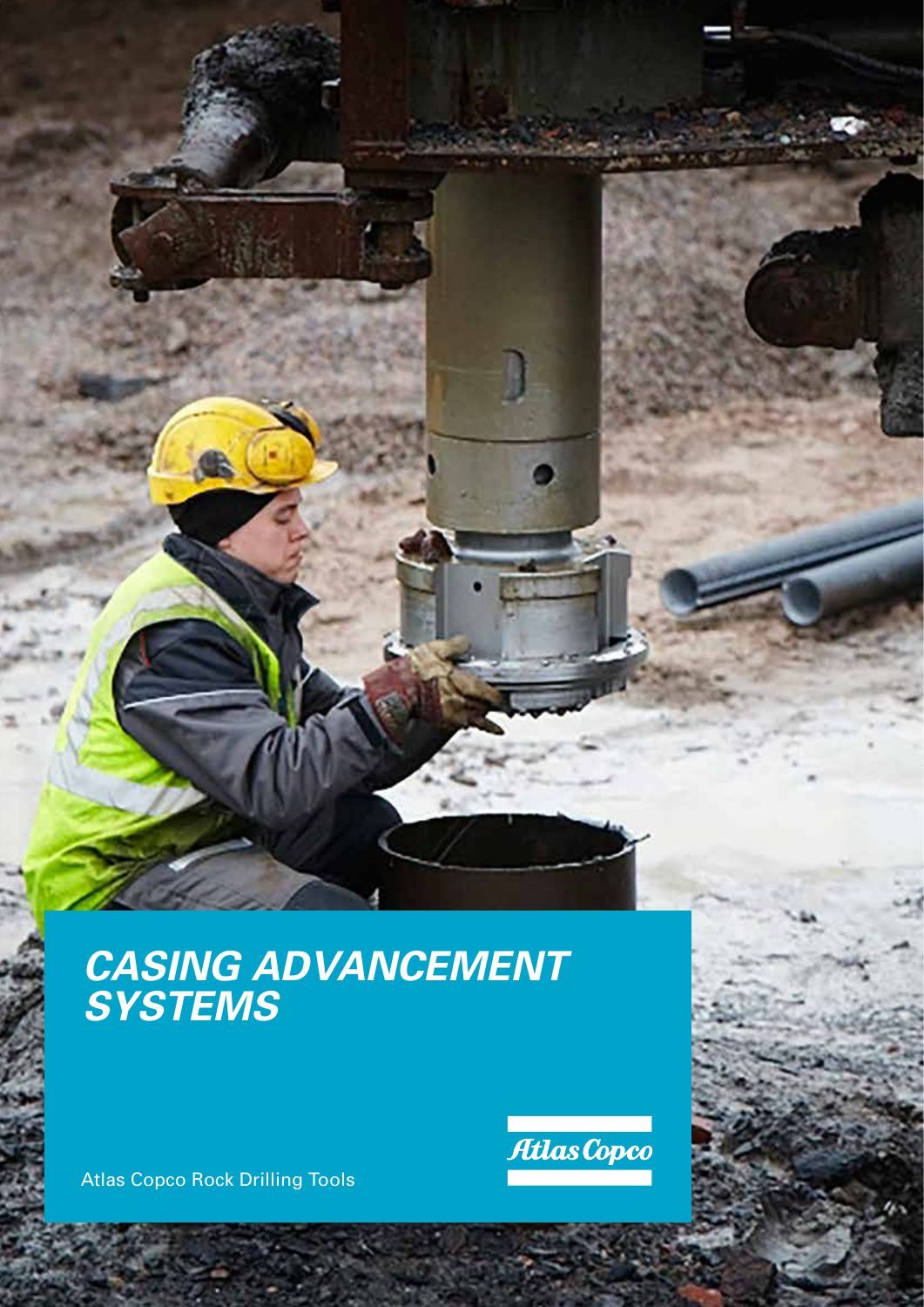### *CASING ADVANCEMENT SYSTEMS*

Atlas Copco Rock Drilling Tools

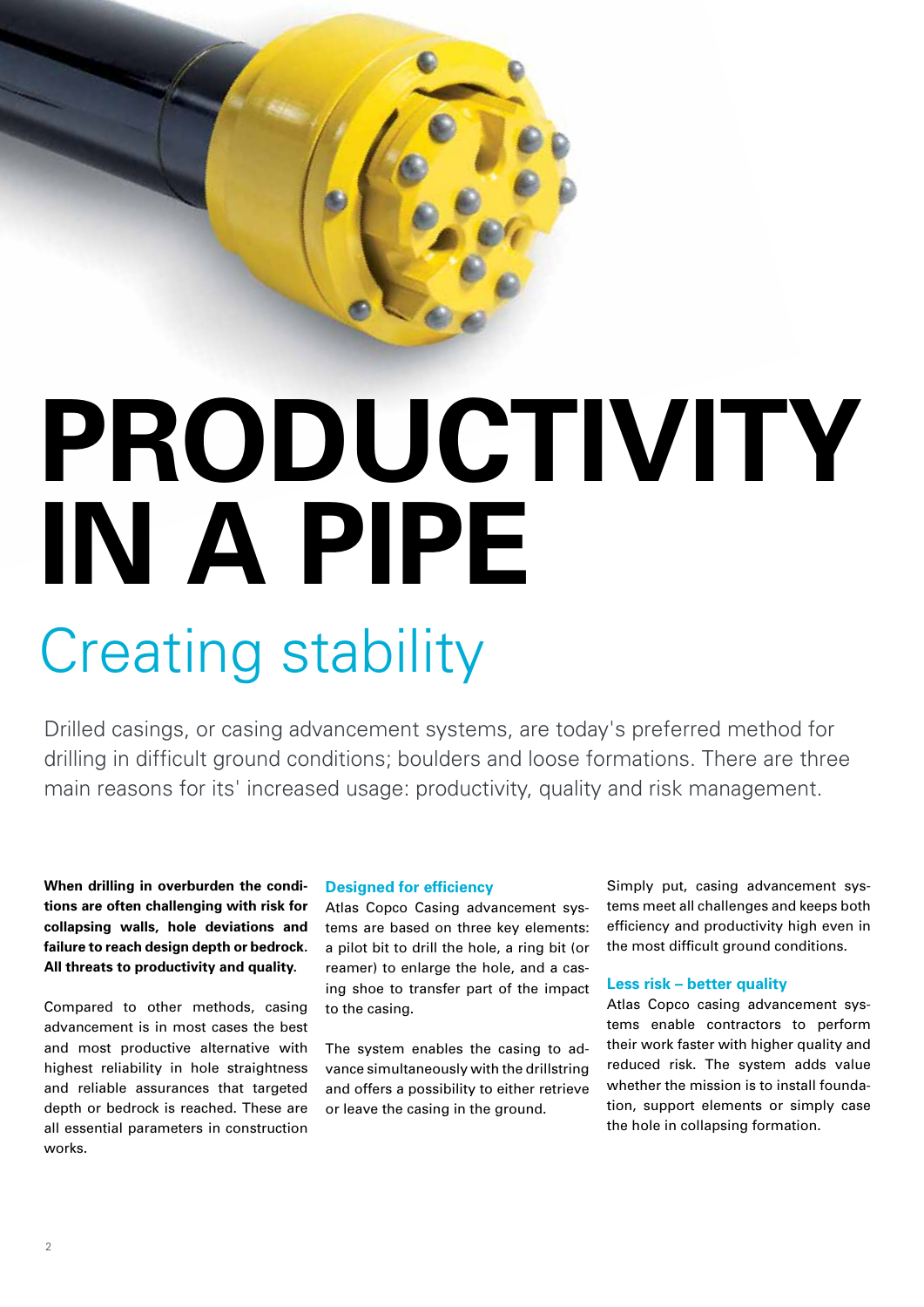

# **PRODUCTIVITY IN A PIPE**

## Creating stability

Drilled casings, or casing advancement systems, are today's preferred method for drilling in difficult ground conditions; boulders and loose formations. There are three main reasons for its' increased usage: productivity, quality and risk management.

**When drilling in overburden the conditions are often challenging with risk for collapsing walls, hole deviations and failure to reach design depth or bedrock. All threats to productivity and quality.**

Compared to other methods, casing advancement is in most cases the best and most productive alternative with highest reliability in hole straightness and reliable assurances that targeted depth or bedrock is reached. These are all essential parameters in construction works.

#### **Designed for efficiency**

Atlas Copco Casing advancement systems are based on three key elements: a pilot bit to drill the hole, a ring bit (or reamer) to enlarge the hole, and a casing shoe to transfer part of the impact to the casing.

The system enables the casing to advance simultaneously with the drillstring and offers a possibility to either retrieve or leave the casing in the ground.

Simply put, casing advancement systems meet all challenges and keeps both efficiency and productivity high even in the most difficult ground conditions.

#### **Less risk – better quality**

Atlas Copco casing advancement systems enable contractors to perform their work faster with higher quality and reduced risk. The system adds value whether the mission is to install foundation, support elements or simply case the hole in collapsing formation.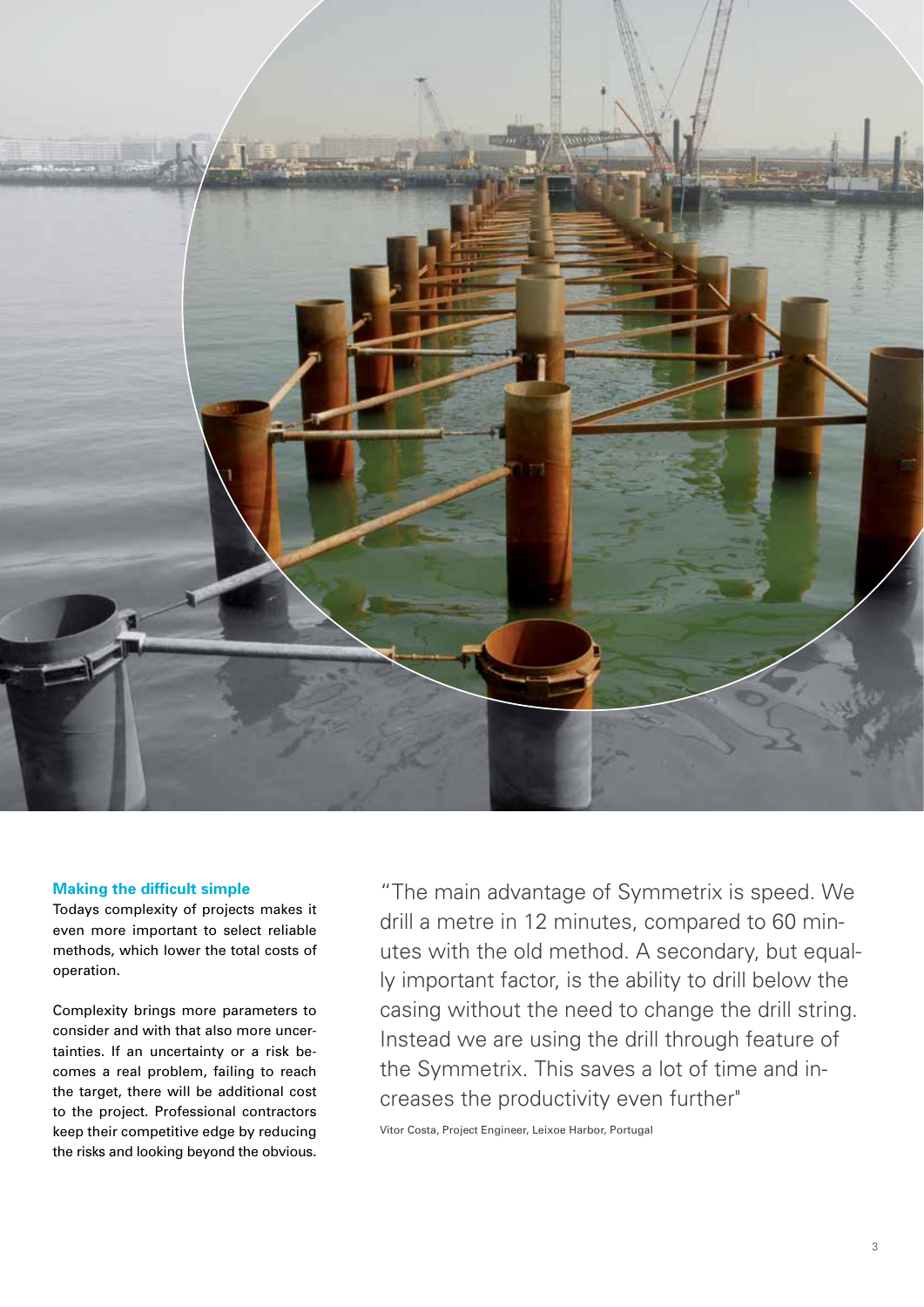

#### **Making the difficult simple**

Todays complexity of projects makes it even more important to select reliable methods, which lower the total costs of operation.

Complexity brings more parameters to consider and with that also more uncertainties. If an uncertainty or a risk becomes a real problem, failing to reach the target, there will be additional cost to the project. Professional contractors keep their competitive edge by reducing the risks and looking beyond the obvious.

"The main advantage of Symmetrix is speed. We drill a metre in 12 minutes, compared to 60 minutes with the old method. A secondary, but equally important factor, is the ability to drill below the casing without the need to change the drill string. Instead we are using the drill through feature of the Symmetrix. This saves a lot of time and increases the productivity even further"

Vitor Costa, Project Engineer, Leixoe Harbor, Portugal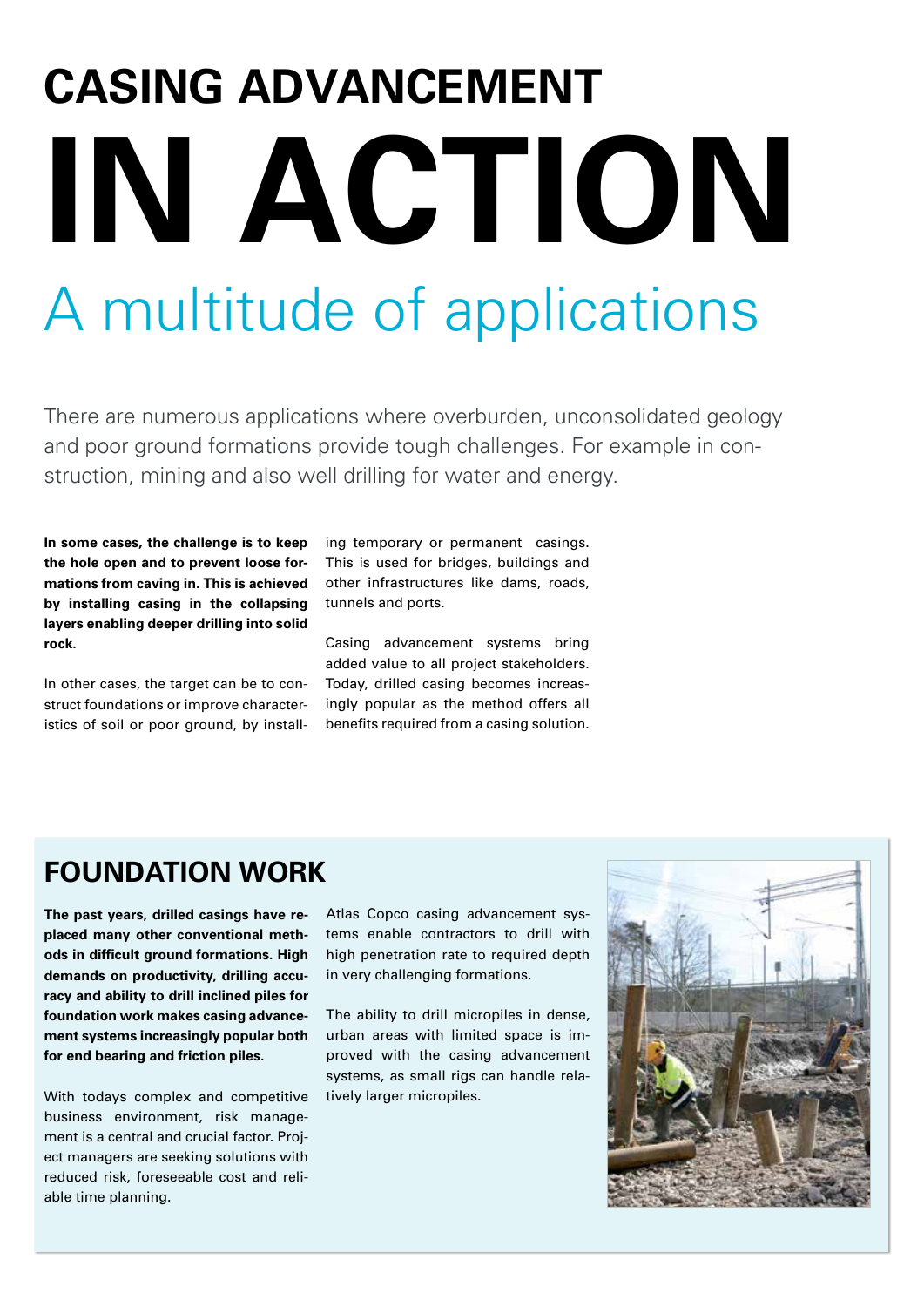# **CASING ADVANCEMENT IN ACTION** A multitude of applications

There are numerous applications where overburden, unconsolidated geology and poor ground formations provide tough challenges. For example in construction, mining and also well drilling for water and energy.

**In some cases, the challenge is to keep the hole open and to prevent loose formations from caving in. This is achieved by installing casing in the collapsing layers enabling deeper drilling into solid rock.** 

In other cases, the target can be to construct foundations or improve characteristics of soil or poor ground, by installing temporary or permanent casings. This is used for bridges, buildings and other infrastructures like dams, roads, tunnels and ports.

Casing advancement systems bring added value to all project stakeholders. Today, drilled casing becomes increasingly popular as the method offers all benefits required from a casing solution.

#### **FOUNDATION WORK**

**The past years, drilled casings have replaced many other conventional methods in difficult ground formations. High demands on productivity, drilling accuracy and ability to drill inclined piles for foundation work makes casing advancement systems increasingly popular both for end bearing and friction piles.**

With todays complex and competitive business environment, risk management is a central and crucial factor. Project managers are seeking solutions with reduced risk, foreseeable cost and reliable time planning.

Atlas Copco casing advancement systems enable contractors to drill with high penetration rate to required depth in very challenging formations.

The ability to drill micropiles in dense, urban areas with limited space is improved with the casing advancement systems, as small rigs can handle relatively larger micropiles.

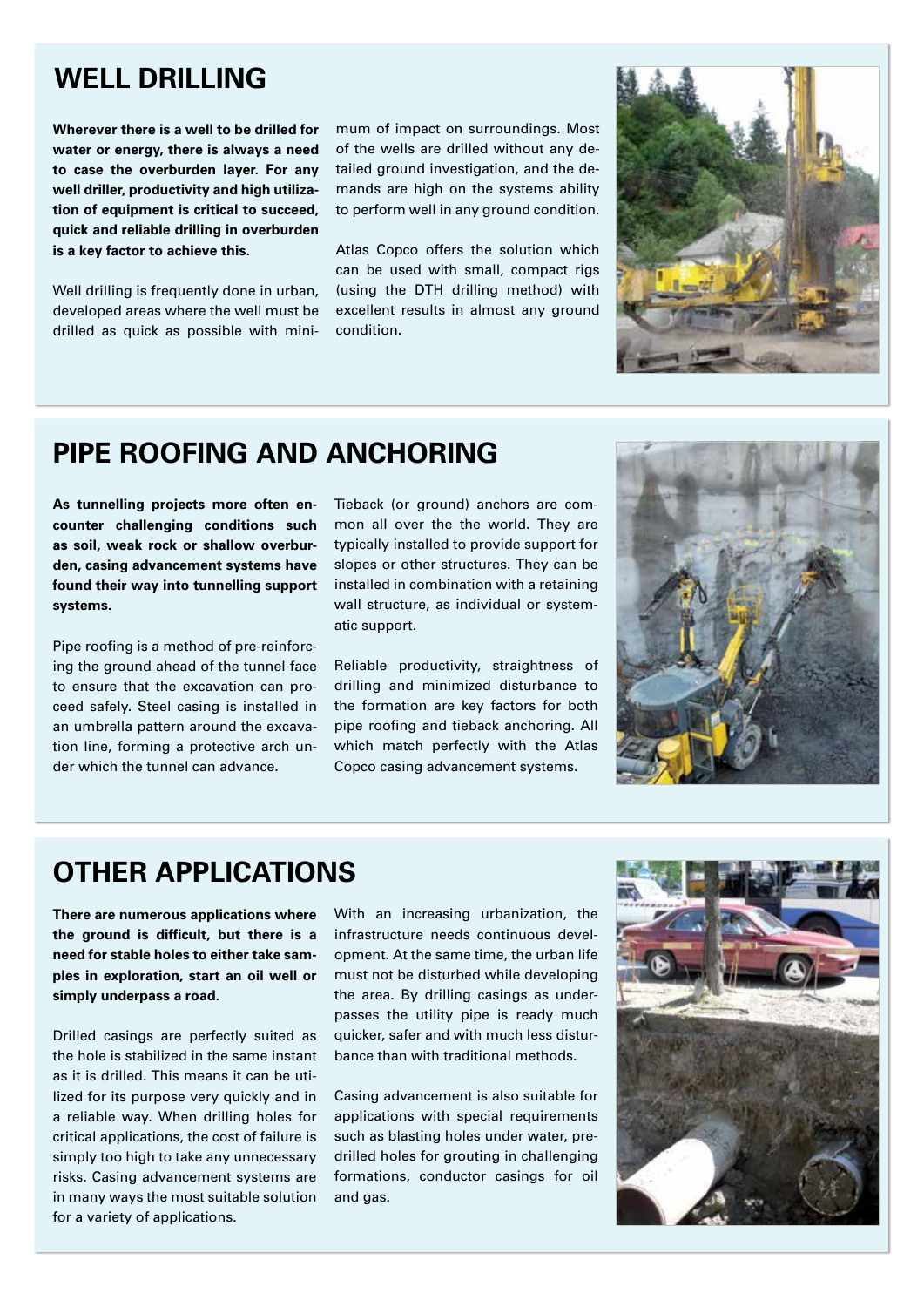#### **WELL DRILLING**

**Wherever there is a well to be drilled for water or energy, there is always a need to case the overburden layer. For any well driller, productivity and high utilization of equipment is critical to succeed, quick and reliable drilling in overburden is a key factor to achieve this.**

Well drilling is frequently done in urban, developed areas where the well must be drilled as quick as possible with minimum of impact on surroundings. Most of the wells are drilled without any detailed ground investigation, and the demands are high on the systems ability to perform well in any ground condition.

Atlas Copco offers the solution which can be used with small, compact rigs (using the DTH drilling method) with excellent results in almost any ground condition.



#### **PIPE ROOFING AND ANCHORING**

**As tunnelling projects more often encounter challenging conditions such as soil, weak rock or shallow overburden, casing advancement systems have found their way into tunnelling support systems.**

Pipe roofing is a method of pre-reinforcing the ground ahead of the tunnel face to ensure that the excavation can proceed safely. Steel casing is installed in an umbrella pattern around the excavation line, forming a protective arch under which the tunnel can advance.

Tieback (or ground) anchors are common all over the the world. They are typically installed to provide support for slopes or other structures. They can be installed in combination with a retaining wall structure, as individual or systematic support.

Reliable productivity, straightness of drilling and minimized disturbance to the formation are key factors for both pipe roofing and tieback anchoring. All which match perfectly with the Atlas Copco casing advancement systems.



#### **OTHER APPLICATIONS**

**There are numerous applications where the ground is difficult, but there is a need for stable holes to either take samples in exploration, start an oil well or simply underpass a road.** 

Drilled casings are perfectly suited as the hole is stabilized in the same instant as it is drilled. This means it can be utilized for its purpose very quickly and in a reliable way. When drilling holes for critical applications, the cost of failure is simply too high to take any unnecessary risks. Casing advancement systems are in many ways the most suitable solution for a variety of applications.

With an increasing urbanization, the infrastructure needs continuous development. At the same time, the urban life must not be disturbed while developing the area. By drilling casings as underpasses the utility pipe is ready much quicker, safer and with much less disturbance than with traditional methods.

Casing advancement is also suitable for applications with special requirements such as blasting holes under water, predrilled holes for grouting in challenging formations, conductor casings for oil and gas.

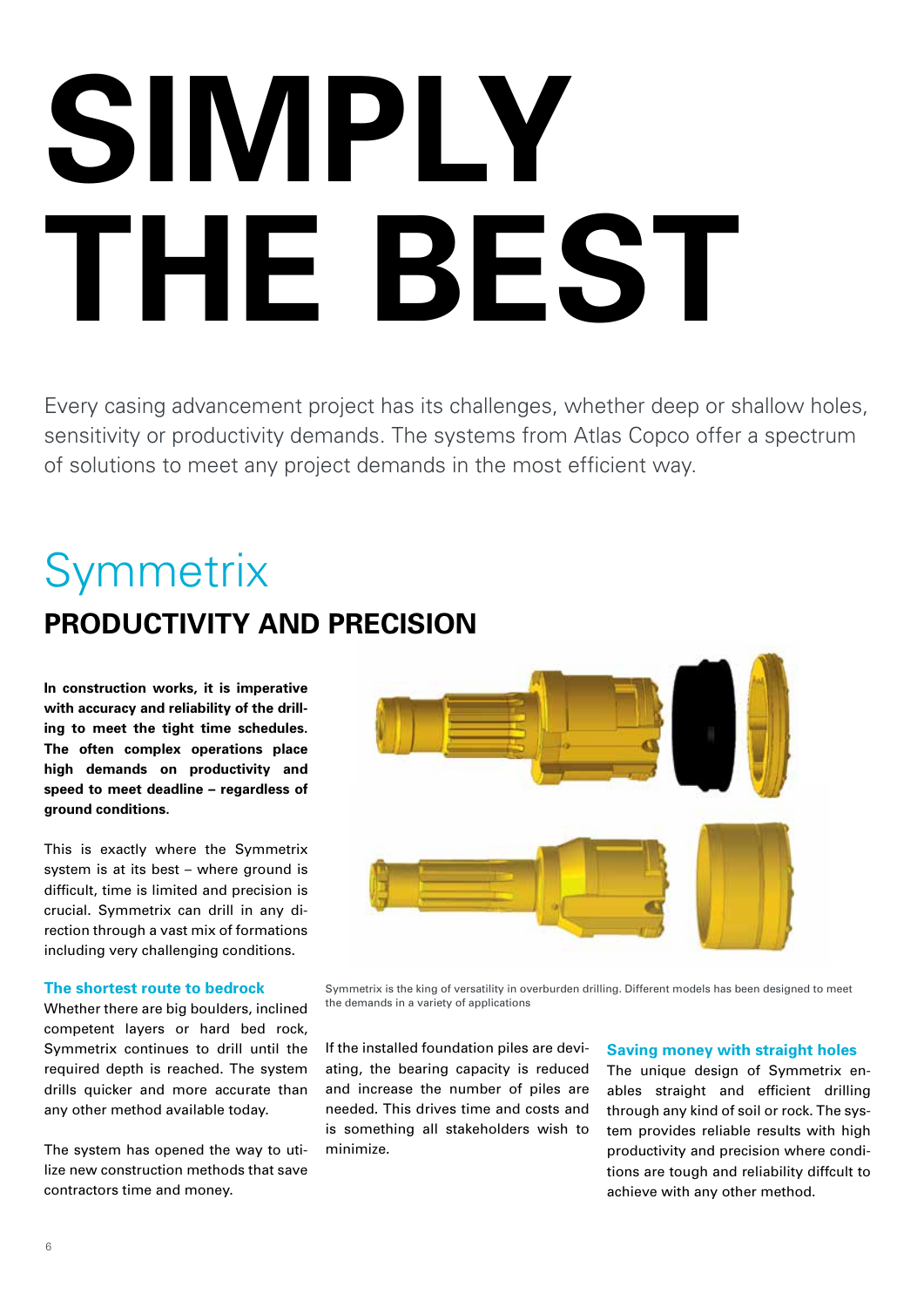# **SIMPLY THE BEST**

Every casing advancement project has its challenges, whether deep or shallow holes, sensitivity or productivity demands. The systems from Atlas Copco offer a spectrum of solutions to meet any project demands in the most efficient way.

## **Symmetrix PRODUCTIVITY AND PRECISION**

**In construction works, it is imperative with accuracy and reliability of the drilling to meet the tight time schedules. The often complex operations place high demands on productivity and speed to meet deadline – regardless of ground conditions.**

This is exactly where the Symmetrix system is at its best – where ground is difficult, time is limited and precision is crucial. Symmetrix can drill in any direction through a vast mix of formations including very challenging conditions.

#### **The shortest route to bedrock**

Whether there are big boulders, inclined competent layers or hard bed rock, Symmetrix continues to drill until the required depth is reached. The system drills quicker and more accurate than any other method available today.

The system has opened the way to utilize new construction methods that save contractors time and money.



Symmetrix is the king of versatility in overburden drilling. Different models has been designed to meet the demands in a variety of applications

If the installed foundation piles are deviating, the bearing capacity is reduced and increase the number of piles are needed. This drives time and costs and is something all stakeholders wish to minimize.

#### **Saving money with straight holes**

The unique design of Symmetrix enables straight and efficient drilling through any kind of soil or rock. The system provides reliable results with high productivity and precision where conditions are tough and reliability diffcult to achieve with any other method.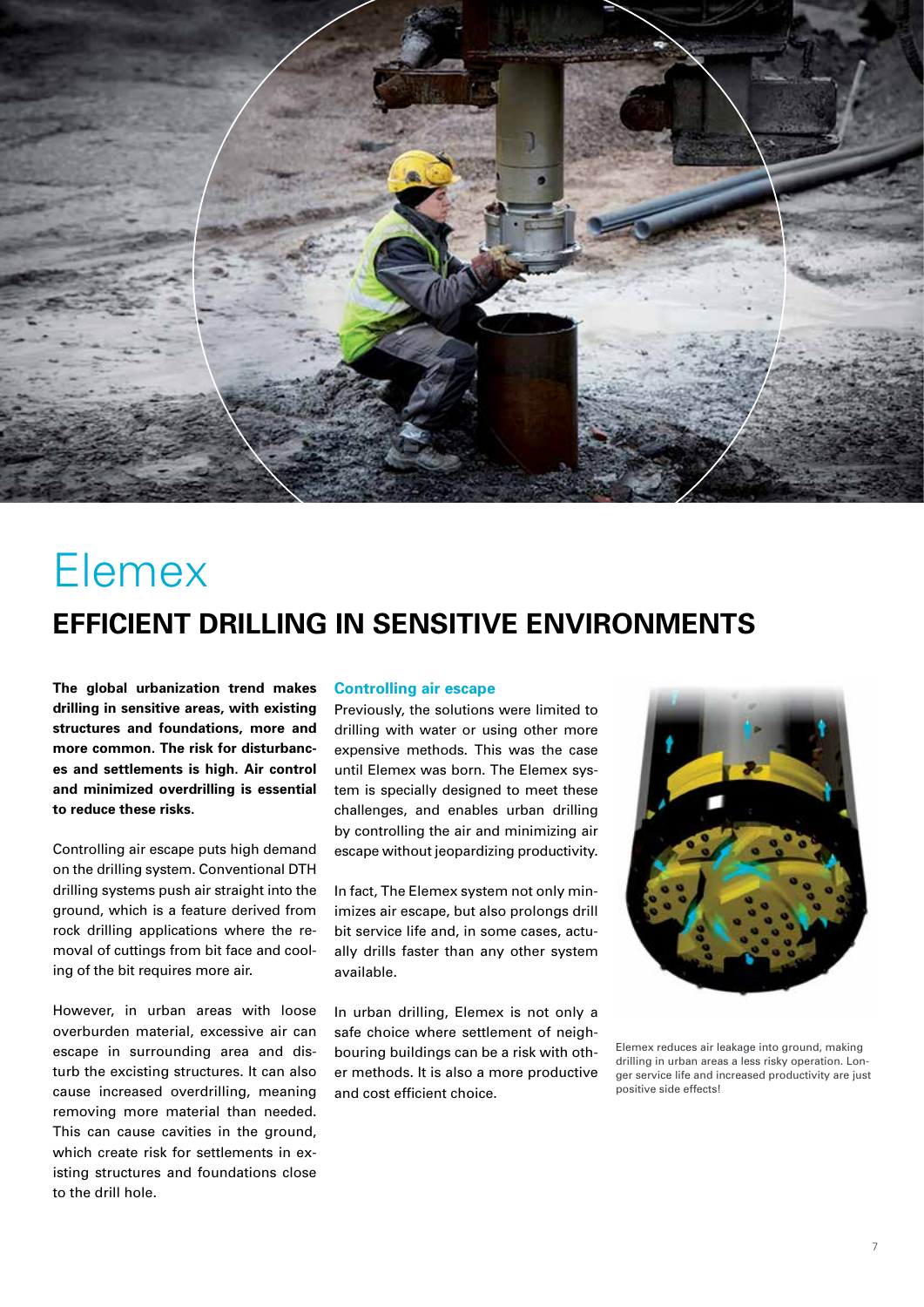

## Elemex **EFFICIENT DRILLING IN SENSITIVE ENVIRONMENTS**

**The global urbanization trend makes drilling in sensitive areas, with existing structures and foundations, more and more common. The risk for disturbances and settlements is high. Air control and minimized overdrilling is essential to reduce these risks.**

Controlling air escape puts high demand on the drilling system. Conventional DTH drilling systems push air straight into the ground, which is a feature derived from rock drilling applications where the removal of cuttings from bit face and cooling of the bit requires more air.

However, in urban areas with loose overburden material, excessive air can escape in surrounding area and disturb the excisting structures. It can also cause increased overdrilling, meaning removing more material than needed. This can cause cavities in the ground, which create risk for settlements in existing structures and foundations close to the drill hole.

#### **Controlling air escape**

Previously, the solutions were limited to drilling with water or using other more expensive methods. This was the case until Elemex was born. The Elemex system is specially designed to meet these challenges, and enables urban drilling by controlling the air and minimizing air escape without jeopardizing productivity.

In fact, The Elemex system not only minimizes air escape, but also prolongs drill bit service life and, in some cases, actually drills faster than any other system available.

In urban drilling, Elemex is not only a safe choice where settlement of neighbouring buildings can be a risk with other methods. It is also a more productive and cost efficient choice.



Elemex reduces air leakage into ground, making drilling in urban areas a less risky operation. Longer service life and increased productivity are just positive side effects!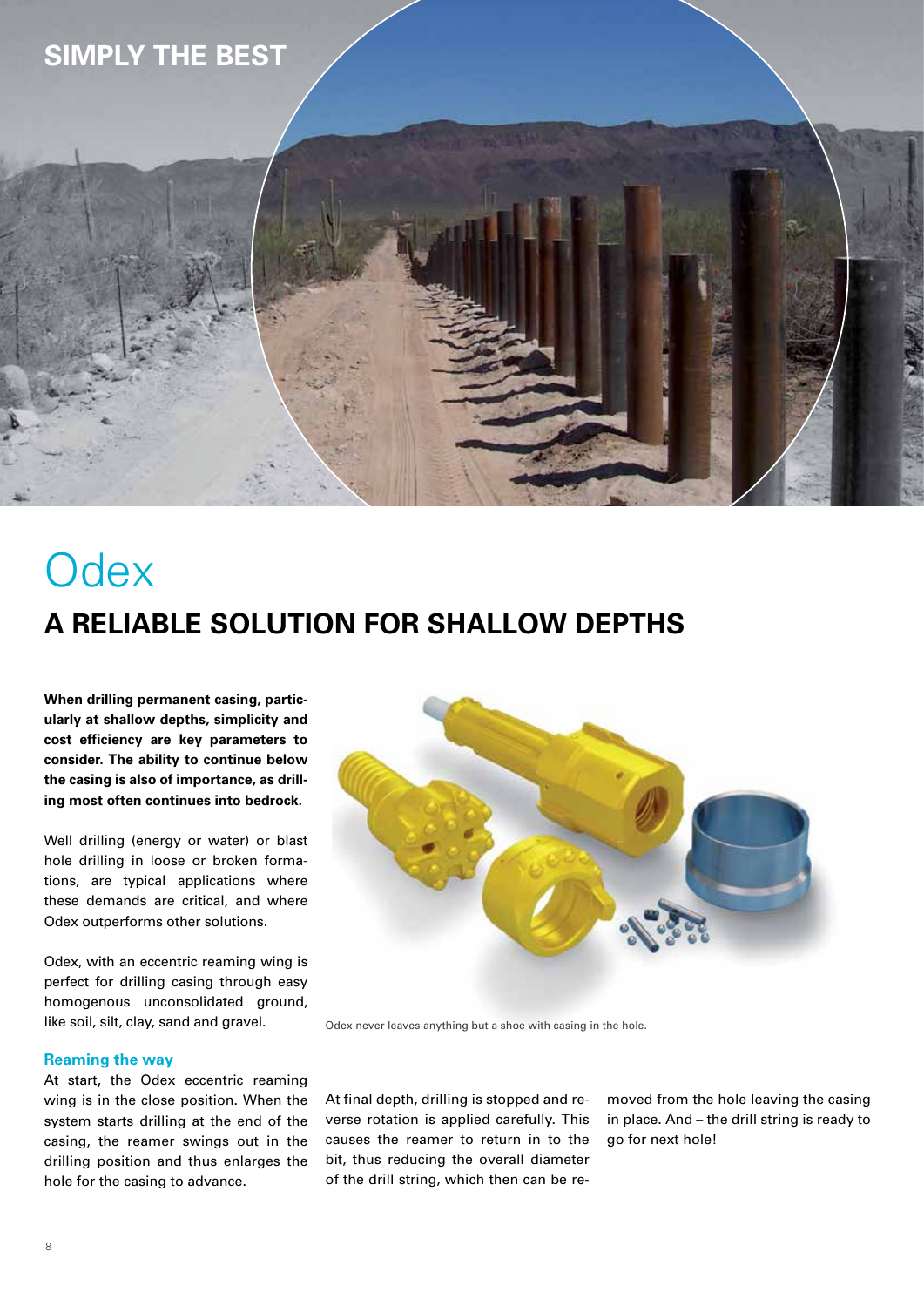#### **SIMPLY THE BEST**



**When drilling permanent casing, particularly at shallow depths, simplicity and cost efficiency are key parameters to consider. The ability to continue below the casing is also of importance, as drilling most often continues into bedrock.** 

Well drilling (energy or water) or blast hole drilling in loose or broken formations, are typical applications where these demands are critical, and where Odex outperforms other solutions.

Odex, with an eccentric reaming wing is perfect for drilling casing through easy homogenous unconsolidated ground, like soil, silt, clay, sand and gravel.

#### **Reaming the way**

At start, the Odex eccentric reaming wing is in the close position. When the system starts drilling at the end of the casing, the reamer swings out in the drilling position and thus enlarges the hole for the casing to advance.



Odex never leaves anything but a shoe with casing in the hole.

At final depth, drilling is stopped and reverse rotation is applied carefully. This causes the reamer to return in to the bit, thus reducing the overall diameter of the drill string, which then can be removed from the hole leaving the casing in place. And – the drill string is ready to go for next hole!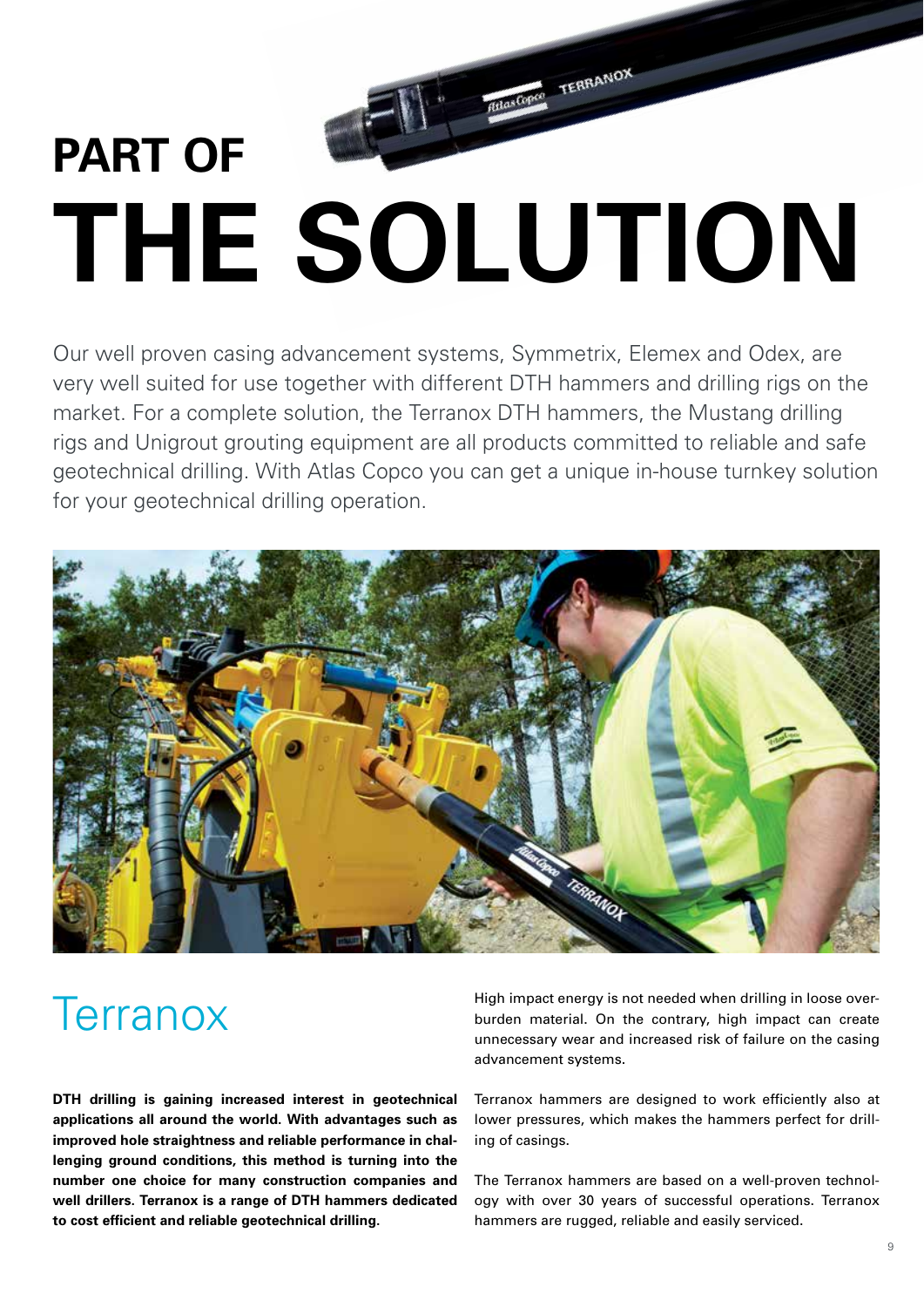## **PART OF THE SOLUTION**

**MilasCopco TERRANOX** 

Our well proven casing advancement systems, Symmetrix, Elemex and Odex, are very well suited for use together with different DTH hammers and drilling rigs on the market. For a complete solution, the Terranox DTH hammers, the Mustang drilling rigs and Unigrout grouting equipment are all products committed to reliable and safe geotechnical drilling. With Atlas Copco you can get a unique in-house turnkey solution for your geotechnical drilling operation.



## **Terranox**

**DTH drilling is gaining increased interest in geotechnical applications all around the world. With advantages such as improved hole straightness and reliable performance in challenging ground conditions, this method is turning into the number one choice for many construction companies and well drillers. Terranox is a range of DTH hammers dedicated to cost efficient and reliable geotechnical drilling.** 

High impact energy is not needed when drilling in loose overburden material. On the contrary, high impact can create unnecessary wear and increased risk of failure on the casing advancement systems.

Terranox hammers are designed to work efficiently also at lower pressures, which makes the hammers perfect for drilling of casings.

The Terranox hammers are based on a well-proven technology with over 30 years of successful operations. Terranox hammers are rugged, reliable and easily serviced.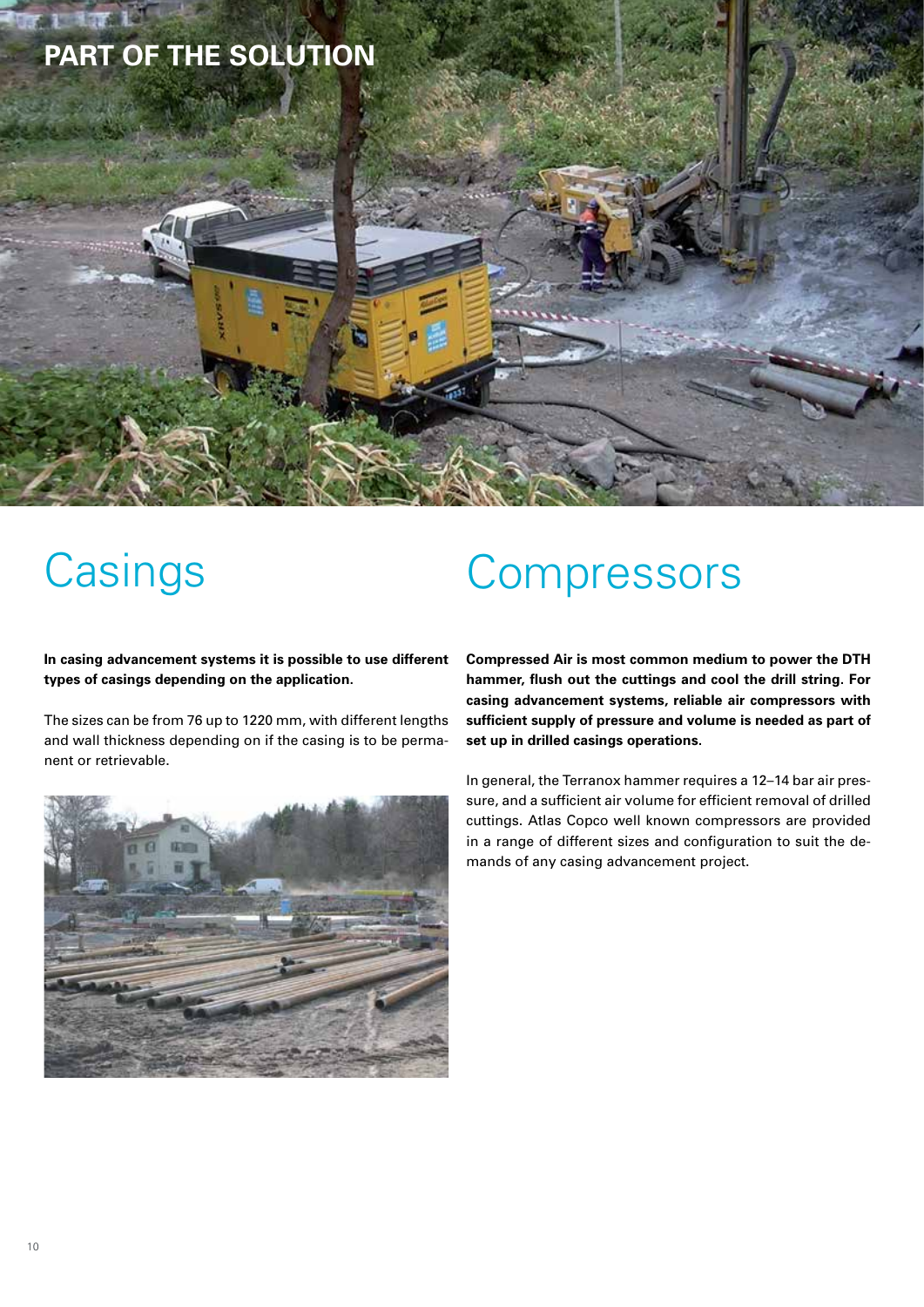

## **Casings**

#### **In casing advancement systems it is possible to use different types of casings depending on the application.**

The sizes can be from 76 up to 1220 mm, with different lengths and wall thickness depending on if the casing is to be permanent or retrievable.



## **Compressors**

**Compressed Air is most common medium to power the DTH hammer, flush out the cuttings and cool the drill string. For casing advancement systems, reliable air compressors with sufficient supply of pressure and volume is needed as part of set up in drilled casings operations.**

In general, the Terranox hammer requires a 12–14 bar air pressure, and a sufficient air volume for efficient removal of drilled cuttings. Atlas Copco well known compressors are provided in a range of different sizes and configuration to suit the demands of any casing advancement project.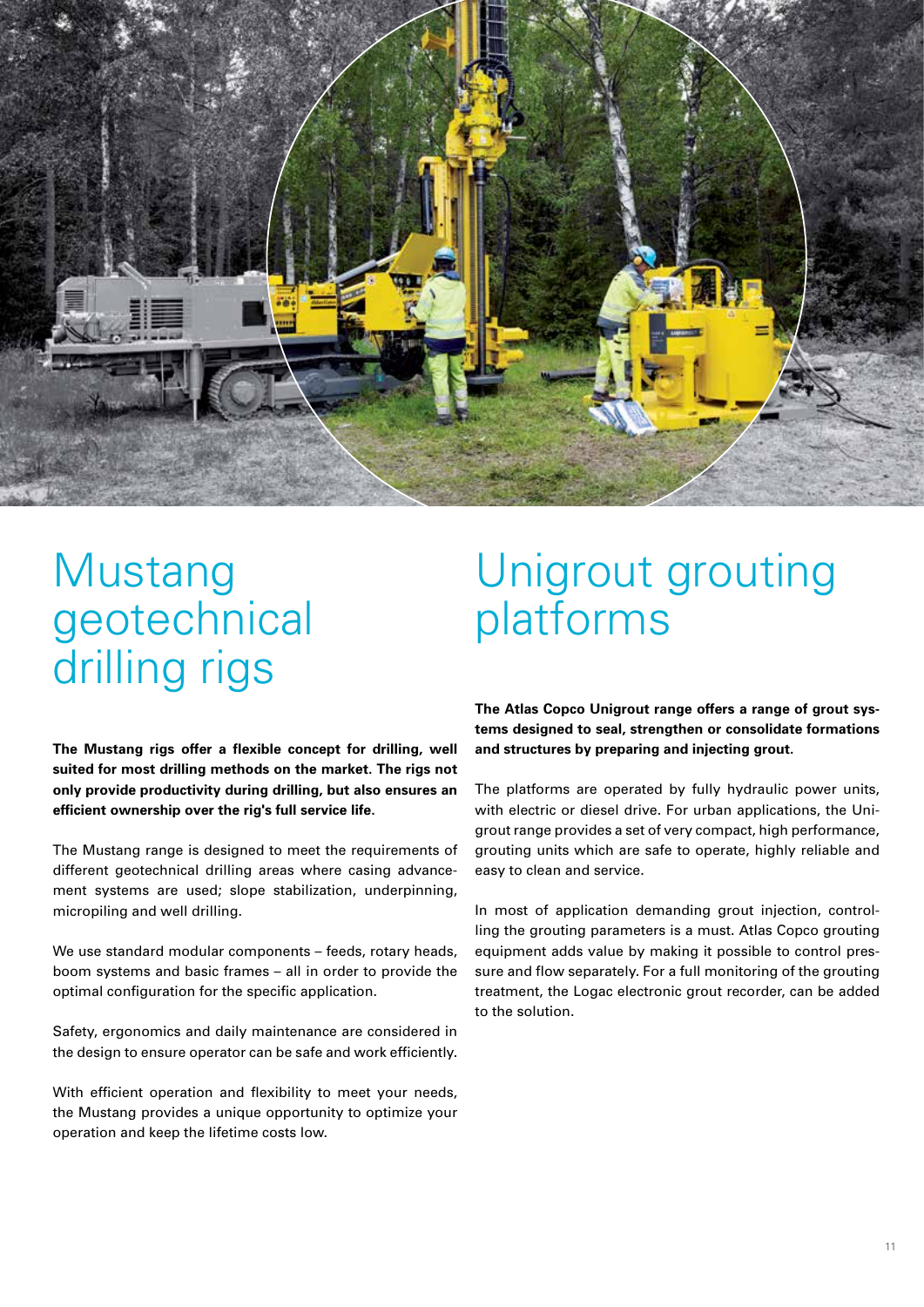

## **Mustang** geotechnical drilling rigs

## Unigrout grouting platforms

**The Mustang rigs offer a flexible concept for drilling, well suited for most drilling methods on the market. The rigs not only provide productivity during drilling, but also ensures an efficient ownership over the rig's full service life.**

The Mustang range is designed to meet the requirements of different geotechnical drilling areas where casing advancement systems are used; slope stabilization, underpinning, micropiling and well drilling.

We use standard modular components – feeds, rotary heads, boom systems and basic frames – all in order to provide the optimal configuration for the specific application.

Safety, ergonomics and daily maintenance are considered in the design to ensure operator can be safe and work efficiently.

With efficient operation and flexibility to meet your needs, the Mustang provides a unique opportunity to optimize your operation and keep the lifetime costs low.

**The Atlas Copco Unigrout range offers a range of grout systems designed to seal, strengthen or consolidate formations and structures by preparing and injecting grout.**

The platforms are operated by fully hydraulic power units, with electric or diesel drive. For urban applications, the Unigrout range provides a set of very compact, high performance, grouting units which are safe to operate, highly reliable and easy to clean and service.

In most of application demanding grout injection, controlling the grouting parameters is a must. Atlas Copco grouting equipment adds value by making it possible to control pressure and flow separately. For a full monitoring of the grouting treatment, the Logac electronic grout recorder, can be added to the solution.